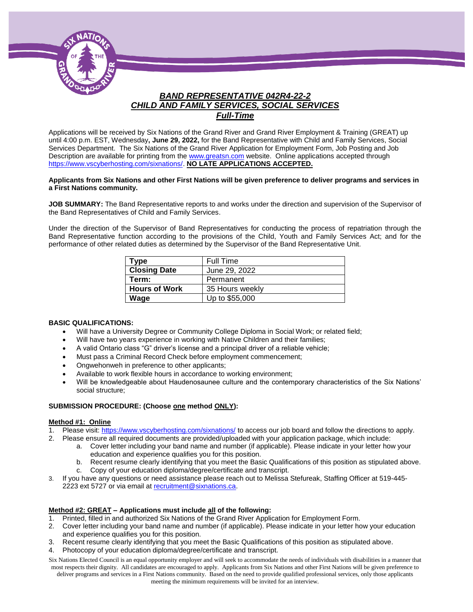

### *BAND REPRESENTATIVE 042R4-22-2 CHILD AND FAMILY SERVICES, SOCIAL SERVICES Full-Time*

Applications will be received by Six Nations of the Grand River and Grand River Employment & Training (GREAT) up until 4:00 p.m. EST, Wednesday**, June 29, 2022,** for the Band Representative with Child and Family Services, Social Services Department. The Six Nations of the Grand River Application for Employment Form, Job Posting and Job Description are available for printing from th[e www.greatsn.com](http://www.greatsn.com/) website. Online applications accepted through [https://www.vscyberhosting.com/sixnations/.](https://www.vscyberhosting.com/sixnations/) **NO LATE APPLICATIONS ACCEPTED.**

#### **Applicants from Six Nations and other First Nations will be given preference to deliver programs and services in a First Nations community.**

**JOB SUMMARY:** The Band Representative reports to and works under the direction and supervision of the Supervisor of the Band Representatives of Child and Family Services.

Under the direction of the Supervisor of Band Representatives for conducting the process of repatriation through the Band Representative function according to the provisions of the Child, Youth and Family Services Act; and for the performance of other related duties as determined by the Supervisor of the Band Representative Unit.

| Type                 | <b>Full Time</b> |
|----------------------|------------------|
| <b>Closing Date</b>  | June 29, 2022    |
| Term:                | Permanent        |
| <b>Hours of Work</b> | 35 Hours weekly  |
| Wage                 | Up to \$55,000   |
|                      |                  |

#### **BASIC QUALIFICATIONS:**

- Will have a University Degree or Community College Diploma in Social Work; or related field;
- Will have two years experience in working with Native Children and their families;
- A valid Ontario class "G" driver's license and a principal driver of a reliable vehicle;
- Must pass a Criminal Record Check before employment commencement;
- Ongwehonweh in preference to other applicants;
- Available to work flexible hours in accordance to working environment;
- Will be knowledgeable about Haudenosaunee culture and the contemporary characteristics of the Six Nations' social structure;

#### **SUBMISSION PROCEDURE: (Choose one method ONLY):**

#### **Method #1: Online**

- 1. Please visit[: https://www.vscyberhosting.com/sixnations/](https://www.vscyberhosting.com/sixnations/) to access our job board and follow the directions to apply.
- 2. Please ensure all required documents are provided/uploaded with your application package, which include:
	- a. Cover letter including your band name and number (if applicable). Please indicate in your letter how your education and experience qualifies you for this position.
	- b. Recent resume clearly identifying that you meet the Basic Qualifications of this position as stipulated above.
	- c. Copy of your education diploma/degree/certificate and transcript.
- 3. If you have any questions or need assistance please reach out to Melissa Stefureak, Staffing Officer at 519-445- 2223 ext 5727 or via email at [recruitment@sixnations.ca.](mailto:recruitment@sixnations.ca)

#### **Method #2: GREAT – Applications must include all of the following:**

- 1. Printed, filled in and authorized Six Nations of the Grand River Application for Employment Form.
- 2. Cover letter including your band name and number (if applicable). Please indicate in your letter how your education and experience qualifies you for this position.
- 3. Recent resume clearly identifying that you meet the Basic Qualifications of this position as stipulated above.<br>4. Photocopy of your education diploma/degree/certificate and transcript.
- 4. Photocopy of your education diploma/degree/certificate and transcript.
- Six Nations Elected Council is an equal opportunity employer and will seek to accommodate the needs of individuals with disabilities in a manner that most respects their dignity. All candidates are encouraged to apply. Applicants from Six Nations and other First Nations will be given preference to deliver programs and services in a First Nations community. Based on the need to provide qualified professional services, only those applicants meeting the minimum requirements will be invited for an interview.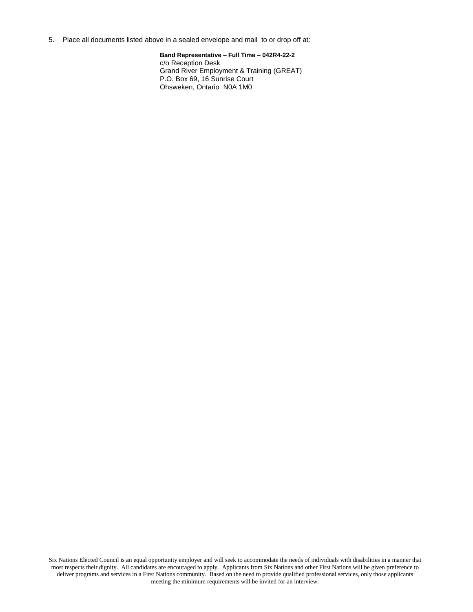5. Place all documents listed above in a sealed envelope and mail to or drop off at:

**Band Representative – Full Time – 042R4-22-2** c/o Reception Desk Grand River Employment & Training (GREAT) P.O. Box 69, 16 Sunrise Court Ohsweken, Ontario N0A 1M0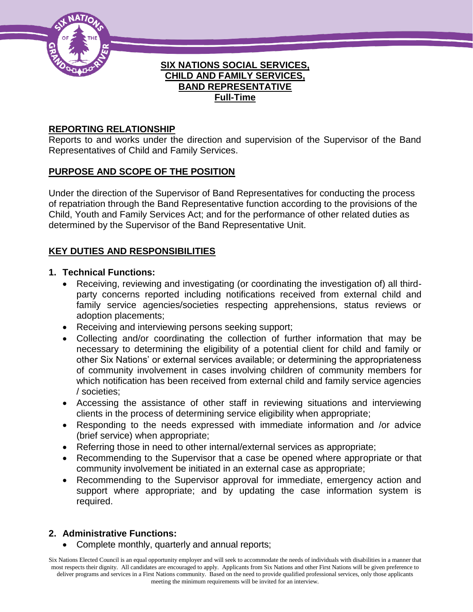

### **SIX NATIONS SOCIAL SERVICES, CHILD AND FAMILY SERVICES, BAND REPRESENTATIVE Full-Time**

# **REPORTING RELATIONSHIP**

Reports to and works under the direction and supervision of the Supervisor of the Band Representatives of Child and Family Services.

# **PURPOSE AND SCOPE OF THE POSITION**

Under the direction of the Supervisor of Band Representatives for conducting the process of repatriation through the Band Representative function according to the provisions of the Child, Youth and Family Services Act; and for the performance of other related duties as determined by the Supervisor of the Band Representative Unit.

# **KEY DUTIES AND RESPONSIBILITIES**

### **1. Technical Functions:**

- Receiving, reviewing and investigating (or coordinating the investigation of) all thirdparty concerns reported including notifications received from external child and family service agencies/societies respecting apprehensions, status reviews or adoption placements;
- Receiving and interviewing persons seeking support;
- Collecting and/or coordinating the collection of further information that may be necessary to determining the eligibility of a potential client for child and family or other Six Nations' or external services available; or determining the appropriateness of community involvement in cases involving children of community members for which notification has been received from external child and family service agencies / societies;
- Accessing the assistance of other staff in reviewing situations and interviewing clients in the process of determining service eligibility when appropriate;
- Responding to the needs expressed with immediate information and /or advice (brief service) when appropriate;
- Referring those in need to other internal/external services as appropriate;
- Recommending to the Supervisor that a case be opened where appropriate or that community involvement be initiated in an external case as appropriate;
- Recommending to the Supervisor approval for immediate, emergency action and support where appropriate; and by updating the case information system is required.

# **2. Administrative Functions:**

Complete monthly, quarterly and annual reports;

Six Nations Elected Council is an equal opportunity employer and will seek to accommodate the needs of individuals with disabilities in a manner that most respects their dignity. All candidates are encouraged to apply. Applicants from Six Nations and other First Nations will be given preference to deliver programs and services in a First Nations community. Based on the need to provide qualified professional services, only those applicants meeting the minimum requirements will be invited for an interview.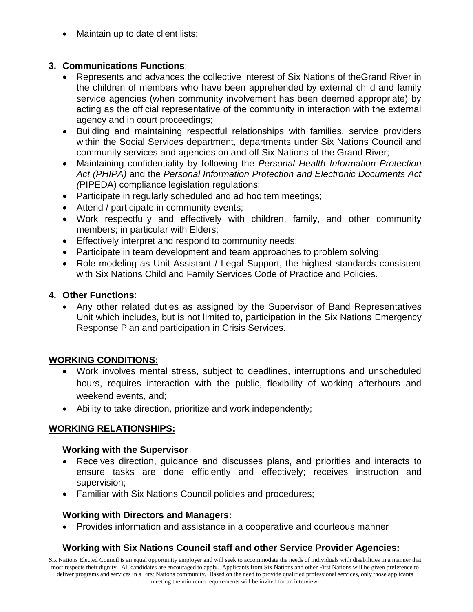Maintain up to date client lists;

# **3. Communications Functions**:

- Represents and advances the collective interest of Six Nations of theGrand River in the children of members who have been apprehended by external child and family service agencies (when community involvement has been deemed appropriate) by acting as the official representative of the community in interaction with the external agency and in court proceedings;
- Building and maintaining respectful relationships with families, service providers within the Social Services department, departments under Six Nations Council and community services and agencies on and off Six Nations of the Grand River;
- Maintaining confidentiality by following the *Personal Health Information Protection Act (PHIPA)* and the *Personal Information Protection and Electronic Documents Act (*PIPEDA) compliance legislation regulations;
- Participate in regularly scheduled and ad hoc tem meetings;
- Attend / participate in community events;
- Work respectfully and effectively with children, family, and other community members; in particular with Elders;
- **Effectively interpret and respond to community needs;**
- Participate in team development and team approaches to problem solving;
- Role modeling as Unit Assistant / Legal Support, the highest standards consistent with Six Nations Child and Family Services Code of Practice and Policies.

# **4. Other Functions**:

 Any other related duties as assigned by the Supervisor of Band Representatives Unit which includes, but is not limited to, participation in the Six Nations Emergency Response Plan and participation in Crisis Services.

# **WORKING CONDITIONS:**

- Work involves mental stress, subject to deadlines, interruptions and unscheduled hours, requires interaction with the public, flexibility of working afterhours and weekend events, and;
- Ability to take direction, prioritize and work independently;

# **WORKING RELATIONSHIPS:**

# **Working with the Supervisor**

- Receives direction, guidance and discusses plans, and priorities and interacts to ensure tasks are done efficiently and effectively; receives instruction and supervision;
- Familiar with Six Nations Council policies and procedures;

# **Working with Directors and Managers:**

Provides information and assistance in a cooperative and courteous manner

# **Working with Six Nations Council staff and other Service Provider Agencies:**

Six Nations Elected Council is an equal opportunity employer and will seek to accommodate the needs of individuals with disabilities in a manner that most respects their dignity. All candidates are encouraged to apply. Applicants from Six Nations and other First Nations will be given preference to deliver programs and services in a First Nations community. Based on the need to provide qualified professional services, only those applicants meeting the minimum requirements will be invited for an interview.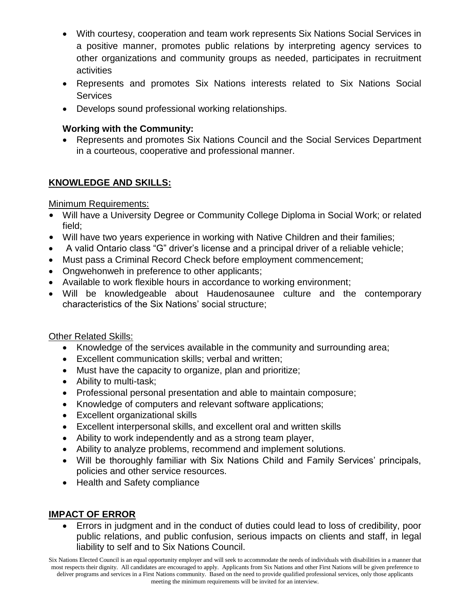- With courtesy, cooperation and team work represents Six Nations Social Services in a positive manner, promotes public relations by interpreting agency services to other organizations and community groups as needed, participates in recruitment activities
- Represents and promotes Six Nations interests related to Six Nations Social **Services**
- Develops sound professional working relationships.

# **Working with the Community:**

 Represents and promotes Six Nations Council and the Social Services Department in a courteous, cooperative and professional manner.

# **KNOWLEDGE AND SKILLS:**

# Minimum Requirements:

- Will have a University Degree or Community College Diploma in Social Work; or related field;
- Will have two years experience in working with Native Children and their families;
- A valid Ontario class "G" driver's license and a principal driver of a reliable vehicle;
- Must pass a Criminal Record Check before employment commencement;
- Ongwehonweh in preference to other applicants;
- Available to work flexible hours in accordance to working environment;
- Will be knowledgeable about Haudenosaunee culture and the contemporary characteristics of the Six Nations' social structure;

# Other Related Skills:

- Knowledge of the services available in the community and surrounding area;
- Excellent communication skills; verbal and written;
- Must have the capacity to organize, plan and prioritize;
- Ability to multi-task;
- Professional personal presentation and able to maintain composure;
- Knowledge of computers and relevant software applications;
- Excellent organizational skills
- Excellent interpersonal skills, and excellent oral and written skills
- Ability to work independently and as a strong team player,
- Ability to analyze problems, recommend and implement solutions.
- Will be thoroughly familiar with Six Nations Child and Family Services' principals, policies and other service resources.
- Health and Safety compliance

# **IMPACT OF ERROR**

 Errors in judgment and in the conduct of duties could lead to loss of credibility, poor public relations, and public confusion, serious impacts on clients and staff, in legal liability to self and to Six Nations Council.

Six Nations Elected Council is an equal opportunity employer and will seek to accommodate the needs of individuals with disabilities in a manner that most respects their dignity. All candidates are encouraged to apply. Applicants from Six Nations and other First Nations will be given preference to deliver programs and services in a First Nations community. Based on the need to provide qualified professional services, only those applicants meeting the minimum requirements will be invited for an interview.